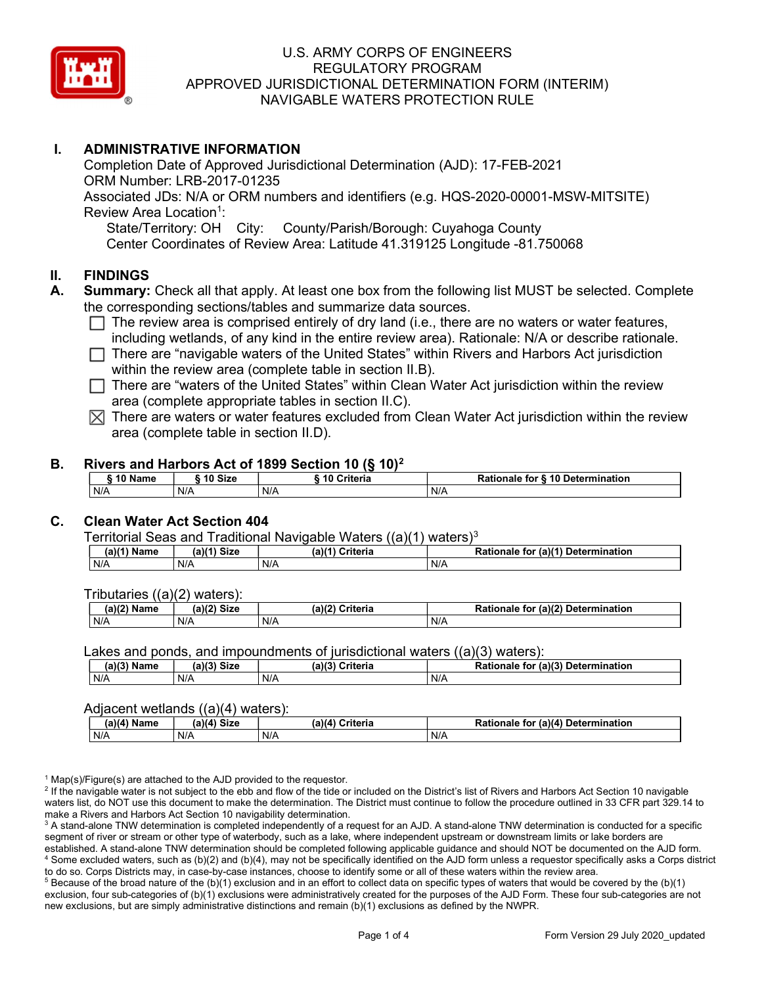

# I. ADMINISTRATIVE INFORMATION

Completion Date of Approved Jurisdictional Determination (AJD): 17-FEB-2021 ORM Number: LRB-2017-01235 Associated JDs: N/A or ORM numbers and identifiers (e.g. HQS-2020-00001-MSW-MITSITE) Review Area Location<sup>1</sup>: State/Territory: OH City: County/Parish/Borough: Cuyahoga County Center Coordinates of Review Area: Latitude 41.319125 Longitude -81.750068

#### II. FINDINGS

- A. Summary: Check all that apply. At least one box from the following list MUST be selected. Complete the corresponding sections/tables and summarize data sources.
	- $\Box$  The review area is comprised entirely of dry land (i.e., there are no waters or water features, including wetlands, of any kind in the entire review area). Rationale: N/A or describe rationale.
	- $\Box$  There are "navigable waters of the United States" within Rivers and Harbors Act jurisdiction within the review area (complete table in section II.B).
	- $\Box$  There are "waters of the United States" within Clean Water Act jurisdiction within the review area (complete appropriate tables in section II.C).
	- $\boxtimes$  There are waters or water features excluded from Clean Water Act jurisdiction within the review area (complete table in section II.D).

#### B. Rivers and Harbors Act of 1899 Section 10 (§ 10)<sup>2</sup>

| 10 Name | ີ <sup>1</sup> ባ Size | 10 Criteria | Rationale for § 10 Determination |
|---------|-----------------------|-------------|----------------------------------|
| N/A     | N/A                   | N/A         | N/A                              |

### C. Clean Water Act Section 404

Territorial Seas and Traditional Navigable Waters  $((a)(1)$  waters)<sup>3</sup>

| (2)<br>Name | (a)<br><b>Size</b> | (a)<br>≿riteria | $\pi$ (a) $(4)$<br>Determination<br><b>Ration</b><br>tor<br>naie |
|-------------|--------------------|-----------------|------------------------------------------------------------------|
| N/A         | N/A                | N/F             | $N$ /                                                            |

Tributaries ((a)(2) waters):

| $-100$<br>.<br>Nam⊾ | $\mathbf{u}$<br>$\sim$ Ci- $\sim$<br>٦Η.<br><b>DILL</b> | 100<br>'witowio<br>an.<br>ilerid | . (a)<br><b>Determination</b><br>-<br>.<br>to<br>ale |
|---------------------|---------------------------------------------------------|----------------------------------|------------------------------------------------------|
| N/A                 | N/A                                                     | N/F                              | N/4                                                  |

Lakes and ponds, and impoundments of jurisdictional waters ((a)(3) waters):

| (a)(3) Name | (a)(3)<br>Siz⊾ | (a)(2) | $(2)$ (a) $(3)$<br><b>Criteria</b><br><b>Rationale</b><br>tor | Determination |
|-------------|----------------|--------|---------------------------------------------------------------|---------------|
| N/A         | N/A            | N/f    | N/A                                                           |               |

#### Adjacent wetlands ((a)(4) waters):

|               | .<br>.      |                 |                                    |  |  |  |  |  |  |
|---------------|-------------|-----------------|------------------------------------|--|--|--|--|--|--|
| $(a)(4)$ Name | (a)(4) Size | (a)(4) Criteria | Rationale for (a)(4) Determination |  |  |  |  |  |  |
| N/A           | N/A         | N/A             | N/A                                |  |  |  |  |  |  |

<sup>1</sup> Map(s)/Figure(s) are attached to the AJD provided to the requestor.

<sup>2</sup> If the navigable water is not subject to the ebb and flow of the tide or included on the District's list of Rivers and Harbors Act Section 10 navigable waters list, do NOT use this document to make the determination. The District must continue to follow the procedure outlined in 33 CFR part 329.14 to make a Rivers and Harbors Act Section 10 navigability determination.

 $^3$  A stand-alone TNW determination is completed independently of a request for an AJD. A stand-alone TNW determination is conducted for a specific segment of river or stream or other type of waterbody, such as a lake, where independent upstream or downstream limits or lake borders are established. A stand-alone TNW determination should be completed following applicable guidance and should NOT be documented on the AJD form. 4 Some excluded waters, such as (b)(2) and (b)(4), may not be specifically identified on the AJD form unless a requestor specifically asks a Corps district to do so. Corps Districts may, in case-by-case instances, choose to identify some or all of these waters within the review area.

 $5$  Because of the broad nature of the (b)(1) exclusion and in an effort to collect data on specific types of waters that would be covered by the (b)(1) exclusion, four sub-categories of (b)(1) exclusions were administratively created for the purposes of the AJD Form. These four sub-categories are not new exclusions, but are simply administrative distinctions and remain (b)(1) exclusions as defined by the NWPR.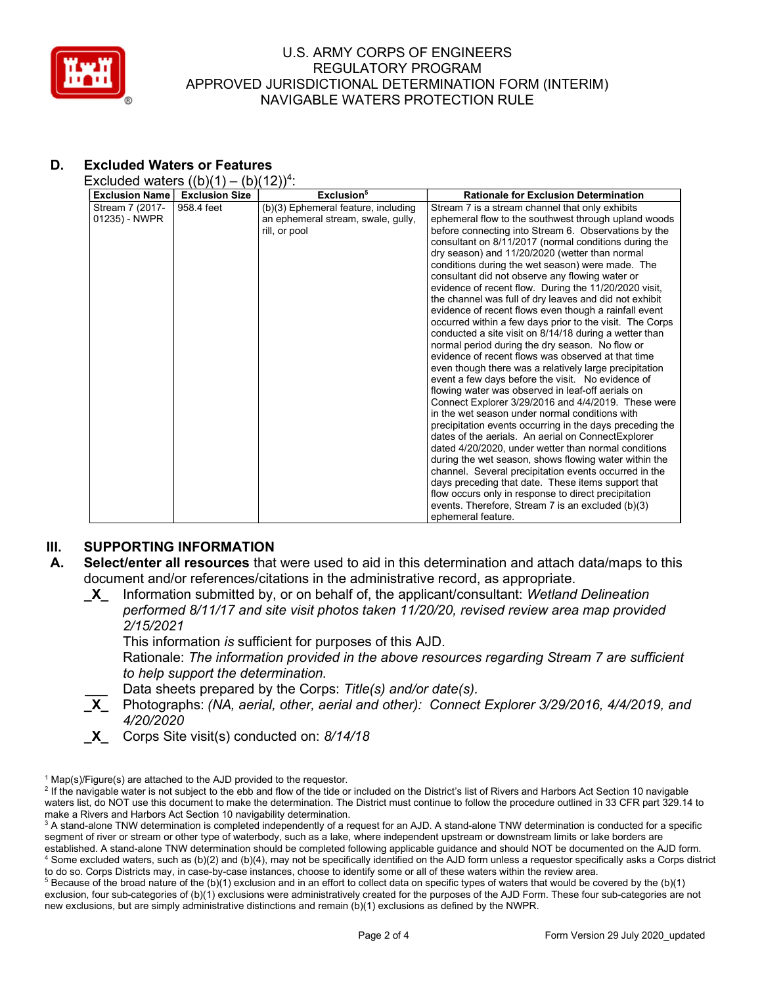

# D. Excluded Waters or Features

Excluded waters  $((b)(1) - (b)(12))^4$ :

| <b>Exclusion Name</b> | <b>Exclusion Size</b> | Exclusion <sup>5</sup>              | <b>Rationale for Exclusion Determination</b>             |
|-----------------------|-----------------------|-------------------------------------|----------------------------------------------------------|
| Stream 7 (2017-       | 958.4 feet            | (b)(3) Ephemeral feature, including | Stream 7 is a stream channel that only exhibits          |
| 01235) - NWPR         |                       | an ephemeral stream, swale, gully,  | ephemeral flow to the southwest through upland woods     |
|                       |                       | rill, or pool                       | before connecting into Stream 6. Observations by the     |
|                       |                       |                                     | consultant on 8/11/2017 (normal conditions during the    |
|                       |                       |                                     | dry season) and 11/20/2020 (wetter than normal           |
|                       |                       |                                     | conditions during the wet season) were made. The         |
|                       |                       |                                     | consultant did not observe any flowing water or          |
|                       |                       |                                     | evidence of recent flow. During the 11/20/2020 visit,    |
|                       |                       |                                     | the channel was full of dry leaves and did not exhibit   |
|                       |                       |                                     | evidence of recent flows even though a rainfall event    |
|                       |                       |                                     | occurred within a few days prior to the visit. The Corps |
|                       |                       |                                     | conducted a site visit on 8/14/18 during a wetter than   |
|                       |                       |                                     | normal period during the dry season. No flow or          |
|                       |                       |                                     | evidence of recent flows was observed at that time       |
|                       |                       |                                     | even though there was a relatively large precipitation   |
|                       |                       |                                     | event a few days before the visit. No evidence of        |
|                       |                       |                                     | flowing water was observed in leaf-off aerials on        |
|                       |                       |                                     | Connect Explorer 3/29/2016 and 4/4/2019. These were      |
|                       |                       |                                     | in the wet season under normal conditions with           |
|                       |                       |                                     | precipitation events occurring in the days preceding the |
|                       |                       |                                     | dates of the aerials. An aerial on ConnectExplorer       |
|                       |                       |                                     | dated 4/20/2020, under wetter than normal conditions     |
|                       |                       |                                     | during the wet season, shows flowing water within the    |
|                       |                       |                                     | channel. Several precipitation events occurred in the    |
|                       |                       |                                     | days preceding that date. These items support that       |
|                       |                       |                                     | flow occurs only in response to direct precipitation     |
|                       |                       |                                     | events. Therefore, Stream 7 is an excluded (b)(3)        |
|                       |                       |                                     | ephemeral feature.                                       |

# **III.** SUPPORTING INFORMATION

- A. Select/enter all resources that were used to aid in this determination and attach data/maps to this document and/or references/citations in the administrative record, as appropriate.
	- **X** Information submitted by, or on behalf of, the applicant/consultant: Wetland Delineation performed 8/11/17 and site visit photos taken 11/20/20, revised review area map provided 2/15/2021

This information is sufficient for purposes of this AJD.

Rationale: The information provided in the above resources regarding Stream 7 are sufficient to help support the determination.

- Data sheets prepared by the Corps: Title(s) and/or date(s).
- \_X\_ Photographs: (NA, aerial, other, aerial and other): Connect Explorer 3/29/2016, 4/4/2019, and 4/20/2020
- $X$  Corps Site visit(s) conducted on: 8/14/18

 $5$  Because of the broad nature of the (b)(1) exclusion and in an effort to collect data on specific types of waters that would be covered by the (b)(1) exclusion, four sub-categories of (b)(1) exclusions were administratively created for the purposes of the AJD Form. These four sub-categories are not new exclusions, but are simply administrative distinctions and remain (b)(1) exclusions as defined by the NWPR.

<sup>&</sup>lt;sup>1</sup> Map(s)/Figure(s) are attached to the AJD provided to the requestor.

<sup>&</sup>lt;sup>2</sup> If the navigable water is not subject to the ebb and flow of the tide or included on the District's list of Rivers and Harbors Act Section 10 navigable waters list, do NOT use this document to make the determination. The District must continue to follow the procedure outlined in 33 CFR part 329.14 to make a Rivers and Harbors Act Section 10 navigability determination.

 $^3$  A stand-alone TNW determination is completed independently of a request for an AJD. A stand-alone TNW determination is conducted for a specific segment of river or stream or other type of waterbody, such as a lake, where independent upstream or downstream limits or lake borders are established. A stand-alone TNW determination should be completed following applicable guidance and should NOT be documented on the AJD form. 4 Some excluded waters, such as (b)(2) and (b)(4), may not be specifically identified on the AJD form unless a requestor specifically asks a Corps district to do so. Corps Districts may, in case-by-case instances, choose to identify some or all of these waters within the review area.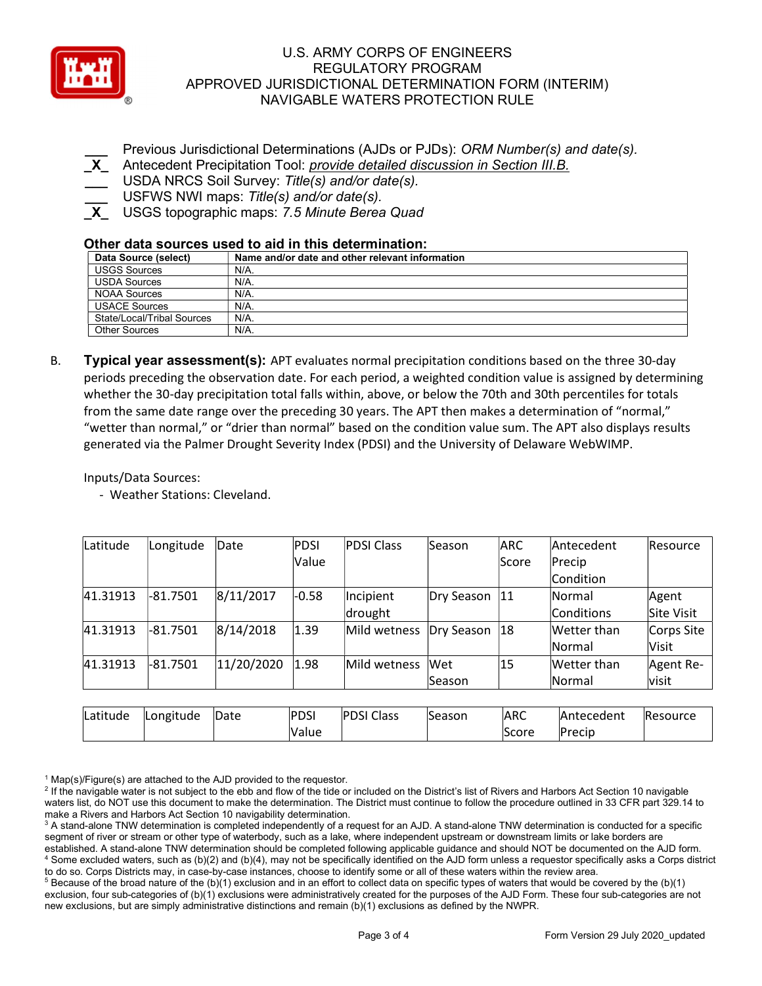

Previous Jurisdictional Determinations (AJDs or PJDs): ORM Number(s) and date(s).

Antecedent Precipitation Tool: provide detailed discussion in Section III.B.

- USDA NRCS Soil Survey: Title(s) and/or date(s).
- USFWS NWI maps: Title(s) and/or date(s).

USGS topographic maps: 7.5 Minute Berea Quad

# Other data sources used to aid in this determination:

| Data Source (select)       | Name and/or date and other relevant information |
|----------------------------|-------------------------------------------------|
| <b>USGS Sources</b>        | N/A.                                            |
| <b>USDA Sources</b>        | N/A.                                            |
| <b>NOAA Sources</b>        | N/A.                                            |
| <b>USACE Sources</b>       | $N/A$ .                                         |
| State/Local/Tribal Sources | N/A.                                            |
| Other Sources              | N/A.                                            |

B. **Typical year assessment(s):** APT evaluates normal precipitation conditions based on the three 30-day periods preceding the observation date. For each period, a weighted condition value is assigned by determining whether the 30-day precipitation total falls within, above, or below the 70th and 30th percentiles for totals from the same date range over the preceding 30 years. The APT then makes a determination of "normal," "wetter than normal," or "drier than normal" based on the condition value sum. The APT also displays results generated via the Palmer Drought Severity Index (PDSI) and the University of Delaware WebWIMP.

Inputs/Data Sources:

- Weather Stations: Cleveland.

| Latitude | Longitude  | Date       | PDSI        | <b>PDSI Class</b> | Season        | <b>ARC</b> | Antecedent    | Resource     |
|----------|------------|------------|-------------|-------------------|---------------|------------|---------------|--------------|
|          |            |            | Value       |                   |               | lScore     | Precip        |              |
|          |            |            |             |                   |               |            | Condition     |              |
| 41.31913 | $-81.7501$ | 8/11/2017  | $-0.58$     | Incipient         | Dry Season    | 11         | Normal        | Agent        |
|          |            |            |             | drought           |               |            | Conditions    | Site Visit   |
| 41.31913 | $-81.7501$ | 8/14/2018  | 1.39        | Mild wetness      | Dry Season    | 18         | Wetter than   | Corps Site   |
|          |            |            |             |                   |               |            | Normal        | <b>Visit</b> |
| 41.31913 | $-81.7501$ | 11/20/2020 | 1.98        | Mild wetness      | Wet           | 15         | Wetter than   | Agent Re-    |
|          |            |            |             |                   | <b>Season</b> |            | <b>Normal</b> | visit        |
|          |            |            |             |                   |               |            |               |              |
| Latitude | Longitude  | Date       | <b>PDSI</b> | <b>PDSI Class</b> | Season        | <b>ARC</b> | Antecedent    | Resource     |
|          |            |            | Value       |                   |               | Score      | Precip        |              |

<sup>1</sup> Map(s)/Figure(s) are attached to the AJD provided to the requestor.

<sup>&</sup>lt;sup>2</sup> If the navigable water is not subject to the ebb and flow of the tide or included on the District's list of Rivers and Harbors Act Section 10 navigable waters list, do NOT use this document to make the determination. The District must continue to follow the procedure outlined in 33 CFR part 329.14 to make a Rivers and Harbors Act Section 10 navigability determination.

 $^3$  A stand-alone TNW determination is completed independently of a request for an AJD. A stand-alone TNW determination is conducted for a specific segment of river or stream or other type of waterbody, such as a lake, where independent upstream or downstream limits or lake borders are established. A stand-alone TNW determination should be completed following applicable guidance and should NOT be documented on the AJD form. 4 Some excluded waters, such as (b)(2) and (b)(4), may not be specifically identified on the AJD form unless a requestor specifically asks a Corps district to do so. Corps Districts may, in case-by-case instances, choose to identify some or all of these waters within the review area.

 $5$  Because of the broad nature of the (b)(1) exclusion and in an effort to collect data on specific types of waters that would be covered by the (b)(1) exclusion, four sub-categories of (b)(1) exclusions were administratively created for the purposes of the AJD Form. These four sub-categories are not new exclusions, but are simply administrative distinctions and remain (b)(1) exclusions as defined by the NWPR.